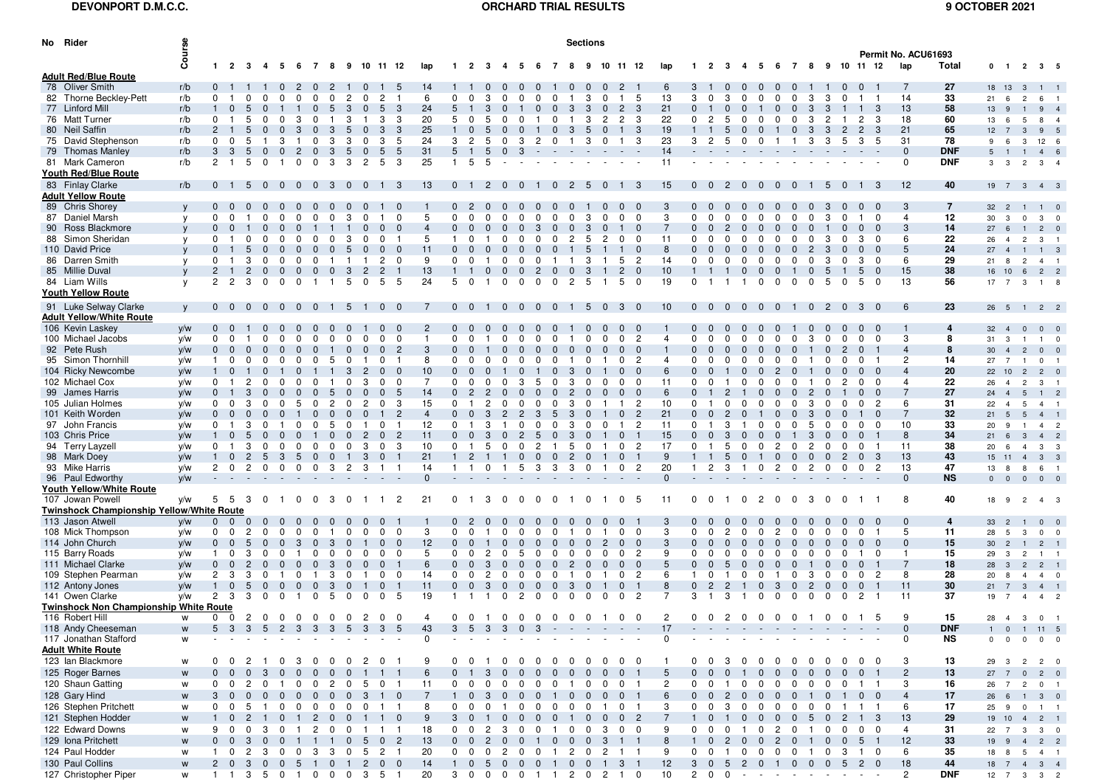## **DEVONPORT D.M.C.C.**

## **ORCHARD TRIAL RESULTS 9 OCTOBER 2021**

| No Rider                                      | Course                                                                                                     |                |                             |                         |                |                         |                     |                     |                         |                |                          |                |                |                                          |                              |                |                | <b>Sections</b>               |                |                |                |                       |                               |                    |                                |                                |                          |                |                                  |                |                |                        |                |                                          |                      |                     |                |
|-----------------------------------------------|------------------------------------------------------------------------------------------------------------|----------------|-----------------------------|-------------------------|----------------|-------------------------|---------------------|---------------------|-------------------------|----------------|--------------------------|----------------|----------------|------------------------------------------|------------------------------|----------------|----------------|-------------------------------|----------------|----------------|----------------|-----------------------|-------------------------------|--------------------|--------------------------------|--------------------------------|--------------------------|----------------|----------------------------------|----------------|----------------|------------------------|----------------|------------------------------------------|----------------------|---------------------|----------------|
|                                               |                                                                                                            |                |                             |                         |                |                         |                     |                     |                         |                |                          |                |                |                                          |                              |                |                |                               |                |                |                |                       |                               |                    |                                |                                |                          |                |                                  |                |                | Permit No. ACU61693    |                |                                          |                      |                     |                |
|                                               |                                                                                                            |                | $1 \quad 2 \quad 3 \quad 4$ |                         |                | 56                      | $\overline{7}$      | - 8<br>9            | 10 11 12                |                | lap                      | $\mathbf{1}$   | -2             |                                          |                              |                |                |                               |                | -11            | -12            | lap                   |                               |                    |                                | - 6                            | 7                        | - 8            | 9 10 11 12                       |                |                | lap                    | <b>Total</b>   | $0 \t1 \t2 \t3 \t5$                      |                      |                     |                |
| <b>Adult Red/Blue Route</b>                   |                                                                                                            |                |                             |                         |                |                         |                     |                     |                         |                |                          |                |                |                                          |                              |                |                |                               |                |                |                |                       |                               |                    |                                |                                |                          |                |                                  |                |                |                        |                |                                          |                      |                     |                |
| 78 Oliver Smith                               | r/b                                                                                                        | $\mathbf{0}$   |                             |                         | $\Omega$       |                         |                     | -2                  |                         |                | 14                       |                |                |                                          |                              |                |                |                               |                |                |                | 6                     | -3                            |                    |                                | $\bf{0}$<br>0                  |                          |                |                                  |                |                | 7                      | 27             | 18 13                                    | $\mathbf{3}$         | $\blacksquare$      |                |
| 82 Thorne Beckley-Pett                        | r/b                                                                                                        | $\mathbf 0$    |                             |                         | 0              | 0                       | $\Omega$            | 0<br>$\overline{c}$ | 0                       | 2              | 6                        | $\mathbf 0$    | $\Omega$       |                                          | 0                            | $\Omega$       | 0              | 3                             | $\mathbf 0$    |                | 5              | 13                    | 3<br>$\Omega$                 | 3                  | 0                              | $\mathbf 0$<br>$\mathbf 0$     | 0                        | 3              | 3<br>$\Omega$                    |                |                | 14                     | 33             | 21<br>6                                  | $\overline{c}$       | 6                   |                |
| 77 Linford Mill                               | r/b                                                                                                        | $\mathbf{1}$   | $\Omega$<br>5               |                         |                |                         | $\mathbf{0}$        | 5<br>-3             | $\mathbf{0}$            | 5              | 24<br>3                  | 5              |                | 3<br>$\Omega$                            |                              | $\Omega$       | $\mathbf{0}$   | -3<br>3                       | $\mathbf{0}$   | $\overline{2}$ | - 3            | 21                    | $\mathbf{0}$                  |                    |                                | $\mathbf{0}$                   | $\mathbf{0}$             | 3              | 3                                |                | -3             | 13                     | 58             | 13<br>-9                                 |                      | 9                   |                |
| 76 Matt Turner                                | r/b                                                                                                        | $\mathbf{0}$   | 5                           |                         | 0              | 3                       | <sup>0</sup>        | 3                   |                         | 3              | 20<br>3                  | 5              | $\Omega$       | .5                                       | $\Omega$                     |                | 0              | 3                             | $\overline{2}$ | 2              | -3             | 22                    | $\Omega$<br>2                 | 5                  | 0                              | 0<br>0                         | 0                        | -3             | 2                                | 2              | -3             | 18                     | 60             | 13<br>- 6                                | -5                   | 8                   |                |
| 80 Neil Saffin                                | r/b                                                                                                        | $\overline{2}$ |                             |                         | $\mathbf{0}$   |                         | $\Omega$            | -3<br>5             |                         |                | 25<br>3                  |                |                |                                          |                              |                |                | 3<br>5                        | $\mathbf{0}$   |                | 3              | 19                    |                               |                    | 0                              | $\mathbf{0}$                   | 0                        | -3             | -3<br>$\mathbf{2}$               | 2              | 3              | 21                     | 65             | 12 <sup>2</sup>                          | -3                   | 9                   |                |
|                                               |                                                                                                            | 0              |                             |                         |                |                         |                     | 3                   |                         |                | 24<br>5                  |                |                |                                          |                              |                |                |                               |                |                |                | 23                    |                               |                    |                                |                                |                          |                |                                  |                | 5              |                        |                |                                          |                      |                     |                |
| 75 David Stephenson                           | r/b                                                                                                        |                |                             |                         |                |                         |                     |                     |                         |                |                          | 3              |                |                                          |                              |                |                |                               |                |                | 3              |                       | 3<br>-2                       |                    |                                |                                |                          | 3              | 5                                |                |                | 31                     | 78             | -9<br>-6                                 |                      | 12                  |                |
| 79 Thomas Manley                              | r/b                                                                                                        | 3              | 3<br>5                      | $\mathbf{0}$            | $\mathbf{0}$   | 2                       | $\Omega$            | -3<br>5             | $\Omega$                |                | 31<br>5                  |                |                | .5                                       | 3                            |                |                |                               |                |                |                | 14                    |                               |                    |                                |                                |                          |                |                                  |                |                | $\mathbf{0}$           | <b>DNF</b>     | 5<br>$\overline{1}$                      |                      | 4                   |                |
| 81 Mark Cameron                               | r/b                                                                                                        | 2              | 5<br>$\mathbf{1}$           | $\Omega$                |                | <sup>0</sup>            | 0                   | -3<br>-3            | 2                       | 5              | 25<br>3                  | $\mathbf{1}$   | -5             | 5                                        |                              |                |                |                               |                |                |                | 11                    |                               |                    |                                |                                |                          |                |                                  |                |                | $\mathbf 0$            | <b>DNF</b>     | $\mathbf{3}$<br>3                        | $\overline{2}$       |                     | 3 <sub>1</sub> |
| <b>Youth Red/Blue Route</b>                   |                                                                                                            |                |                             |                         |                |                         |                     |                     |                         |                |                          |                |                |                                          |                              |                |                |                               |                |                |                |                       |                               |                    |                                |                                |                          |                |                                  |                |                |                        |                |                                          |                      |                     |                |
| 83 Finlay Clarke                              | r/b                                                                                                        | 0 <sub>1</sub> | 5                           | $\overline{\mathbf{0}}$ | $\mathbf{0}$   | $\overline{0}$          | 0                   | -3<br>$\mathbf{0}$  | $\mathbf{0}$            |                | 13<br>-3                 |                | 0 <sub>1</sub> | 2<br>- 0                                 | $\Omega$                     |                | 0              | 2<br>5                        | 0              | $\overline{1}$ | $_{3}$         | 15                    | $0\quad 0$                    |                    | $2\quad 0$                     | $\mathbf{0}$<br>0              | 0                        |                | -5<br>$\mathbf{0}$               |                | 1 3            | 12                     | 40             | 19 7 3 4 3                               |                      |                     |                |
| <u> Adult Yellow Route</u>                    |                                                                                                            |                |                             |                         |                |                         |                     |                     |                         |                |                          |                |                |                                          |                              |                |                |                               |                |                |                |                       |                               |                    |                                |                                |                          |                |                                  |                |                |                        |                |                                          |                      |                     |                |
| 89 Chris Shorey                               | y                                                                                                          | $0\quad 0$     |                             |                         |                |                         |                     |                     |                         |                |                          | 0              | 2              |                                          |                              |                |                |                               |                | $\Omega$       | - 0            |                       |                               |                    |                                |                                |                          |                |                                  |                |                | 3                      | $\overline{7}$ | 32 2                                     |                      | $\overline{1}$      |                |
| 87 Daniel Marsh                               | y                                                                                                          | 0              | $\Omega$                    |                         | 0              |                         |                     | 0<br>З              | 0                       |                | 5<br>$\Omega$            | $\mathbf 0$    | $\Omega$       |                                          | 0                            |                |                | з                             | <sup>0</sup>   | <sup>0</sup>   | 0              | 3                     | $\mathbf 0$<br>$\Omega$       | $\Omega$           |                                | 0<br>$\Omega$                  | 0                        |                | з                                |                | 0              | $\overline{4}$         | 12             | 30<br>3                                  | $\Omega$             | 3                   |                |
| 90 Ross Blackmore                             | V                                                                                                          | $\mathbf{0}$   |                             |                         |                |                         |                     |                     |                         |                |                          | $\Omega$       |                |                                          |                              |                |                |                               |                |                | $\Omega$       | $\overline{7}$        | $\mathbf{0}$                  |                    |                                |                                |                          |                |                                  |                |                | 3                      | 14             | 27<br>6                                  |                      | $\overline{2}$      |                |
|                                               |                                                                                                            |                |                             |                         |                |                         |                     |                     |                         |                | 5                        |                |                |                                          |                              |                |                |                               |                |                | $\Omega$       | 11                    | $\Omega$                      |                    |                                |                                |                          |                |                                  |                |                |                        | 22             |                                          |                      |                     |                |
| 88 Simon Sheridan                             | y                                                                                                          | 0              |                             |                         |                |                         |                     |                     |                         |                |                          |                |                |                                          |                              |                |                |                               |                |                |                |                       |                               |                    |                                |                                |                          |                |                                  |                |                | 6                      |                | 26                                       | $\overline{2}$       | 3                   |                |
| 110 David Price                               | y                                                                                                          |                |                             |                         |                |                         |                     |                     |                         |                | 11                       | $\Omega$       |                |                                          |                              |                |                |                               |                |                | $\mathbf{0}$   | 8                     |                               |                    |                                |                                |                          |                |                                  |                |                | 5                      | 24             | 27<br>$\overline{4}$                     |                      | $\overline{1}$      |                |
| 86 Darren Smith                               | y                                                                                                          | 0              | 3                           | 0                       | 0              |                         | 0                   |                     |                         | 2              | 9<br>$\Omega$            | $\Omega$       | $\Omega$       |                                          | 0                            | 0              |                |                               |                | 5              | - 2            | 14                    | $\Omega$                      |                    |                                | 0<br>0                         | 0                        | -0             | з                                |                | 0              | 6                      | 29             | 21<br>-8                                 | $\overline{2}$       |                     | 4 1            |
| 85 Millie Duval                               | <b>y</b>                                                                                                   | $\overline{2}$ | $\overline{2}$              |                         | $\mathbf{0}$   |                         |                     | -0<br>3             | $\overline{2}$          | 2              | 13                       |                |                | $\mathbf{0}$                             | $\mathbf 0$                  | $\overline{2}$ |                | 3<br>$\mathbf{0}$             |                | $\overline{2}$ | $\overline{0}$ | 10                    | $\mathbf{1}$                  |                    |                                | $\mathbf 0$<br>$\mathbf{0}$    |                          | 0              | 5                                |                | $\mathbf 0$    | 15                     | 38             | 16 10                                    | - 6                  |                     | 2 <sub>2</sub> |
| 84 Liam Wills                                 | <b>y</b>                                                                                                   | 2              | 2<br>3                      |                         | $\Omega$       | <sup>0</sup>            |                     | 5                   | $\Omega$                | 5              | 24<br>5                  | 5              | $\Omega$       |                                          | $\Omega$                     | <sup>0</sup>   | <sup>0</sup>   | 2<br>5                        |                | 5              | $\mathbf 0$    | 19                    | $\mathbf{0}$                  |                    |                                | $\Omega$<br>$\Omega$           | <sup>0</sup>             | <sup>0</sup>   | .5<br>$\Omega$                   |                | 0              | 13                     | 56             | 17 7                                     | 3                    | $\overline{1}$      |                |
| Youth Yellow Route                            |                                                                                                            |                |                             |                         |                |                         |                     |                     |                         |                |                          |                |                |                                          |                              |                |                |                               |                |                |                |                       |                               |                    |                                |                                |                          |                |                                  |                |                |                        |                |                                          |                      |                     |                |
| 91 Luke Selway Clarke                         | V                                                                                                          | $0\quad 0$     |                             | $\overline{0}$          | $\mathbf{0}$   | $\mathbf{0}$            |                     | -5                  |                         | $\Omega$       | -7                       |                | $0\quad 0$     |                                          | $\mathbf{0}$<br>$\mathbf{0}$ | $\mathbf{0}$   |                | 5                             | $\mathbf{0}$   | 3              | $\overline{0}$ | 10                    | $0\quad 0$                    | $\mathbf{0}$       | $\overline{\mathbf{0}}$        | $\mathbf{0}$<br>$\overline{0}$ |                          | $\overline{0}$ | $\overline{2}$<br>$\overline{0}$ | -3             |                | 6                      | 23             | 26 5                                     |                      | $1 \quad 2 \quad 2$ |                |
| <b>Adult Yellow/White Route</b>               |                                                                                                            |                |                             |                         |                |                         |                     |                     |                         |                |                          |                |                |                                          |                              |                |                |                               |                |                |                |                       |                               |                    |                                |                                |                          |                |                                  |                |                |                        |                |                                          |                      |                     |                |
| 106 Kevin Laskey                              | y/w                                                                                                        | $\mathbf{0}$   |                             |                         |                |                         |                     |                     |                         |                | $\overline{2}$           | $\overline{0}$ |                |                                          |                              |                |                |                               |                |                | - 0            |                       | $\Omega$                      |                    |                                |                                |                          |                |                                  |                |                |                        | $\overline{4}$ |                                          | $\mathbf{0}$         | $\overline{0}$      |                |
|                                               |                                                                                                            |                |                             |                         |                |                         |                     |                     |                         |                |                          |                |                |                                          |                              |                |                |                               |                |                |                | $\boldsymbol{\Delta}$ |                               | $\Omega$           |                                |                                |                          |                |                                  |                |                |                        |                | $32 \quad 4$                             |                      |                     |                |
| 100 Michael Jacobs                            | y/w                                                                                                        | $\mathbf 0$    | 0                           |                         | 0              |                         |                     |                     |                         |                | $\Omega$<br>$\mathbf{1}$ | 0              |                |                                          | <sup>0</sup>                 | <sup>0</sup>   |                |                               | $\Omega$       | $\Omega$       | $\overline{c}$ |                       | $\Omega$                      |                    |                                | $\mathbf 0$                    | 0                        | 3              | 0                                |                | $\Omega$       | 3                      | 8              | 31<br>$\mathbf{3}$                       |                      | $\overline{1}$      |                |
| 92 Pete Rush                                  | y/w                                                                                                        | $\mathbf 0$    | $\mathbf{0}$<br>$\mathbf 0$ |                         |                |                         |                     |                     |                         |                | 3<br>$\overline{c}$      | $\mathbf{0}$   |                |                                          | $\mathbf{0}$                 |                |                |                               |                |                | $\mathbf 0$    |                       | $\mathbf 0$                   |                    |                                | $\mathbf{0}$<br>0              |                          |                |                                  |                |                | $\overline{4}$         | 8              | 30 <sup>°</sup><br>$\overline{4}$        | $\overline{2}$       | $\mathbf{0}$        |                |
| 95 Simon Thornhill                            | y/w                                                                                                        | -1             |                             |                         |                |                         |                     | 5                   |                         |                | 8                        | $\Omega$       |                |                                          |                              |                |                |                               |                |                | 2              | 4                     |                               |                    | $\Omega$                       |                                |                          |                |                                  |                |                | 2                      | 14             | 27<br>$\overline{7}$                     | -1                   | $\mathbf 0$         |                |
| 104 Ricky Newcombe                            | y/w                                                                                                        |                |                             |                         |                |                         |                     |                     |                         |                | 10                       | $\Omega$       |                |                                          |                              |                |                |                               |                |                | $\Omega$       | 6                     | $\mathbf{0}$                  |                    |                                |                                |                          |                |                                  |                |                | $\boldsymbol{\Lambda}$ | 20             | 22 10                                    | $\overline{c}$       | $\overline{2}$      |                |
| 102 Michael Cox                               | y/w                                                                                                        | 0              |                             |                         |                |                         |                     |                     | з                       |                | 7<br>$\Omega$            | 0              |                |                                          | 3                            | 5              |                | з                             |                | <sup>0</sup>   | $\Omega$       | 11                    | $\Omega$                      |                    |                                |                                |                          |                |                                  |                |                | 4                      | 22             | 26                                       | $\overline{2}$       | 3                   |                |
| 99 James Harris                               | y/w                                                                                                        | $\mathbf{0}$   |                             |                         |                |                         |                     |                     |                         |                | 14                       | $\mathbf{0}$   |                |                                          |                              |                |                |                               |                |                | $\Omega$       | 6                     |                               |                    |                                |                                |                          |                |                                  |                |                | 7                      | 27             | 24<br>$\overline{4}$                     | $\sqrt{5}$           |                     |                |
| 105 Julian Holmes                             | y/w                                                                                                        |                |                             |                         |                | 5                       |                     | 2                   | 2                       |                | 15<br>3                  | $\Omega$       |                |                                          | 0                            | $\Omega$       | 0              | 3                             |                |                | $\overline{2}$ | 10                    | $\Omega$                      |                    |                                | 0<br>0                         | <sup>0</sup>             | 3              |                                  |                | 2              | 6                      | 31             | 22 4                                     | 5                    | $\overline{4}$      |                |
| 101 Keith Worden                              | V/W                                                                                                        | $\mathbf{0}$   |                             |                         |                |                         |                     |                     |                         |                | 4                        | $\mathbf{0}$   |                |                                          |                              | 3              | 5              | 3                             |                | $\mathbf{0}$   | $\overline{c}$ | 21                    | $\mathbf{0}$                  |                    |                                |                                |                          | з              |                                  |                |                | $\overline{7}$         | 32             | 21<br>5                                  | .5                   | $\overline{4}$      |                |
| 97 John Francis                               | y/w                                                                                                        | 0              |                             |                         |                |                         |                     |                     |                         |                | 12                       | $\Omega$       |                |                                          |                              |                |                |                               |                |                |                | 11                    | 0                             |                    |                                |                                |                          |                |                                  |                |                | 10                     | 33             | 20                                       |                      | $\overline{4}$      |                |
| 103 Chris Price                               | y/w                                                                                                        |                | -5                          |                         | $\Omega$       |                         |                     |                     | 2                       |                | $\overline{c}$<br>11     |                |                |                                          |                              | 5              | $\Omega$       | 3                             |                | $\Omega$       |                | 15                    | $\Omega$                      |                    |                                | $\Omega$                       |                          | 3              |                                  |                |                | 8                      | 34             | 21<br>-6                                 | $\mathcal{R}$        | $\overline{4}$      |                |
| 94 Terry Layzell                              | y/w                                                                                                        | 0              |                             |                         |                |                         |                     |                     |                         |                | 10                       | 0              |                |                                          | 0                            |                |                | 5                             |                |                | $\overline{2}$ | 17                    | $\Omega$                      |                    |                                |                                |                          | 2              |                                  |                |                | 11                     | 38             | 20<br>-6                                 |                      | 3                   |                |
|                                               |                                                                                                            |                |                             |                         |                |                         |                     |                     |                         |                |                          |                |                |                                          |                              |                |                |                               |                |                |                |                       |                               |                    |                                |                                |                          |                |                                  |                |                |                        |                |                                          |                      |                     |                |
| 98 Mark Doey                                  | y/w                                                                                                        |                |                             |                         |                |                         |                     |                     |                         |                | 21                       |                | 2              |                                          |                              |                |                | 2                             |                |                |                | 9                     |                               |                    |                                |                                |                          |                |                                  |                | 3              | 13                     | 43             | 15 11                                    | $\overline{4}$       |                     | $3 \quad 3$    |
| 93 Mike Harris                                | y/w                                                                                                        | 2              |                             |                         |                |                         | $\Omega$            | 3<br>2              | 3                       |                | 14                       |                | $\mathbf{1}$   | $\Omega$                                 | 5                            | 3              | 3              | 3<br><sup>0</sup>             |                | $\Omega$       | 2              | 20                    | 2                             | 3                  |                                | $\Omega$<br>2                  | $\Omega$                 | 2              | 0<br>0                           |                | $\overline{c}$ | 13                     | 47             | 13<br>8                                  | -8                   | 6                   |                |
| 96 Paul Edworthy                              | V/W                                                                                                        |                |                             |                         |                |                         |                     |                     |                         |                | $\mathbf{0}$             |                |                |                                          |                              |                |                |                               |                |                |                | $\Omega$              |                               |                    |                                |                                |                          |                |                                  |                |                | $\mathbf{0}$           | <b>NS</b>      | $\overline{\phantom{0}}$<br>$\mathbf{0}$ | $\mathbf{0}$         | $\overline{0}$      |                |
| Youth Yellow/White Route                      |                                                                                                            |                |                             |                         |                |                         |                     |                     |                         |                |                          |                |                |                                          |                              |                |                |                               |                |                |                |                       |                               |                    |                                |                                |                          |                |                                  |                |                |                        |                |                                          |                      |                     |                |
| 107 Jowan Powell                              | y/w                                                                                                        | $5\quad 5$     | - 3                         |                         |                |                         |                     | -3                  |                         |                | 21<br>$\overline{2}$     | $\mathbf{0}$   | $\blacksquare$ | 3<br>- 0                                 | $\Omega$                     | $\Omega$       |                |                               |                | $\Omega$       | -5             | 11                    | $\mathbf{0}$<br>$\Omega$      |                    | $\Omega$                       | 2<br>0                         | $\Omega$                 | -3             | 0<br>0                           |                |                | 8                      | 40             | 18 9                                     | $\overline{2}$       | $\overline{4}$      |                |
| Twinshock Championship Yellow/White Route     |                                                                                                            |                |                             |                         |                |                         |                     |                     |                         |                |                          |                |                |                                          |                              |                |                |                               |                |                |                |                       |                               |                    |                                |                                |                          |                |                                  |                |                |                        |                |                                          |                      |                     |                |
| 113 Jason Atwell                              | V/W                                                                                                        | $\overline{0}$ | $\Omega$<br>$\Omega$        | $\Omega$                | $\Omega$       |                         |                     |                     |                         |                |                          |                |                |                                          |                              |                |                |                               |                |                |                |                       |                               |                    |                                |                                |                          |                |                                  |                |                | $\Omega$               | 4              | 33 2                                     |                      | $\overline{0}$      |                |
| 108 Mick Thompson                             | y/w                                                                                                        | 0              | $\Omega$<br>2               |                         |                |                         |                     |                     |                         |                | 3<br>$\Omega$            | $\Omega$       | $\Omega$       |                                          | <sup>0</sup>                 |                | $\Omega$       |                               |                | <sup>0</sup>   | 0              | 3                     | $\mathbf 0$                   | 2                  |                                | <sup>0</sup><br>2              | <sup>0</sup>             | O              |                                  |                |                | $5\overline{)}$        | 11             | 28<br>5                                  | -3                   | $\mathbf 0$         |                |
| 114 John Church                               | y/w                                                                                                        | $\mathbf{0}$   |                             |                         |                |                         |                     |                     |                         |                | 12                       | $\mathbf{0}$   |                |                                          |                              |                |                |                               |                |                | $\Omega$       | 3                     | $\mathbf{0}$                  |                    |                                |                                |                          |                |                                  |                |                | $\mathbf{0}$           | 15             | 30 <sup>°</sup><br>$\overline{2}$        |                      | $\overline{2}$      |                |
| 115 Barry Roads                               | y/w                                                                                                        |                | 3                           |                         |                |                         |                     |                     |                         |                | 5                        | $\Omega$       | $\Omega$       |                                          | 5                            |                |                |                               |                | <sup>0</sup>   | -2             | 9                     |                               |                    | <sup>0</sup>                   |                                |                          |                |                                  |                | 0              | $\mathbf{1}$           | 15             | $\mathbf{3}$<br>29                       | $\mathcal{P}$        | $\overline{1}$      |                |
| 111 Michael Clarke                            | y/w                                                                                                        | $\mathbf{0}$   |                             |                         |                |                         |                     |                     |                         |                | 6                        | $\Omega$       |                |                                          |                              |                |                |                               |                | $\Omega$       | $\mathbf{0}$   | 5                     |                               |                    |                                |                                |                          |                |                                  |                |                | $\overline{7}$         | 18             | 28                                       |                      | $\overline{2}$      |                |
| 109 Stephen Pearman                           | y/w                                                                                                        | 2              | 3                           |                         |                |                         |                     |                     |                         |                | 14                       | 0              |                | 2                                        | $\Omega$                     |                |                |                               |                |                | $\overline{c}$ | 6                     |                               |                    |                                |                                |                          | 3              |                                  |                | $\overline{2}$ | 8                      | 28             | 20<br>-8                                 |                      | $\overline{4}$      |                |
|                                               |                                                                                                            |                |                             |                         |                |                         |                     |                     |                         |                |                          |                |                |                                          |                              |                |                |                               |                | $\Omega$       |                | 8                     |                               |                    |                                |                                |                          |                |                                  |                |                |                        |                |                                          |                      |                     |                |
| 112 Antony Jones                              | y/w                                                                                                        |                | 5<br>$\mathbf{0}$           |                         | $\mathbf{0}$   |                         | $\Omega$            | 3                   |                         |                | 11                       | $\mathbf 0$    | $\mathbf{0}$   | 3                                        | $\mathbf 0$<br>$\mathbf{0}$  | $\Omega$       | $\Omega$       | 3                             |                |                |                |                       | $\mathbf 0$<br>$\overline{2}$ | $\overline{2}$     |                                | $\mathbf{0}$<br>3              | $\Omega$                 | $\overline{c}$ | $\Omega$<br>0                    |                |                | 11                     | 30             | 21<br>$\overline{7}$                     | $\cdot$ <sub>3</sub> | $\overline{4}$      |                |
| 141 Owen Clarke                               | y/w                                                                                                        | 2 <sub>3</sub> | -3                          |                         | 0              |                         | <sup>0</sup>        | 5                   |                         |                | 19                       |                |                |                                          | 2                            |                |                |                               |                |                | -2             | -7                    | 3                             | 3                  |                                | 0<br>0                         | $\mathbf 0$              | $\mathbf{0}$   | 0<br>0                           | $\overline{2}$ |                | 11                     | 37             | 19                                       |                      | $\overline{4}$      |                |
| <b>Twinshock Non Championship White Route</b> |                                                                                                            |                |                             |                         |                |                         |                     |                     |                         |                |                          |                |                |                                          |                              |                |                |                               |                |                |                |                       |                               |                    |                                |                                |                          |                |                                  |                |                |                        |                |                                          |                      |                     |                |
| 116 Robert Hill                               | W                                                                                                          | $\mathbf{0}$   | $\overline{0}$              |                         | 2 0 0 0 0 0 0  |                         |                     |                     | $\overline{c}$          | $\mathbf{0}$   | 0<br>$\overline{4}$      |                |                | 0 0 1 0 0 0                              |                              |                | $\mathbf{0}$   | $\overline{0}$<br>- 0         |                | $^{\circ}$     | 0              | 2                     |                               | $0 \t 0 \t 2 \t 0$ |                                |                                | $0\quad 0\quad 0$        | $\overline{1}$ | 0 0 1 5                          |                |                | 9                      | 15             | 28 4 3 0 1                               |                      |                     |                |
| 118 Andy Cheeseman                            |                                                                                                            |                | 3                           | 5                       | $\mathbf{2}$   |                         | $3 \quad 3 \quad 3$ |                     |                         | 3 <sub>5</sub> | 43                       | $\mathbf{3}$   | $5^{\circ}$    | 3 <sup>1</sup>                           | $3 \quad 0$                  |                |                |                               |                |                |                |                       |                               |                    |                                |                                |                          |                |                                  |                |                |                        | <b>DNF</b>     | $1 \t0 \t1 \t11 \t5$                     |                      |                     |                |
| 117 Jonathan Stafford                         | W                                                                                                          |                |                             |                         |                |                         |                     |                     |                         |                | 0                        |                |                |                                          |                              |                |                |                               |                |                |                | $\Omega$              |                               |                    |                                |                                |                          |                |                                  |                |                | 0                      | NS             | $0\qquad 0\qquad 0\qquad 0\qquad 0$      |                      |                     |                |
| <b>Adult White Route</b>                      |                                                                                                            |                |                             |                         |                |                         |                     |                     |                         |                |                          |                |                |                                          |                              |                |                |                               |                |                |                |                       |                               |                    |                                |                                |                          |                |                                  |                |                |                        |                |                                          |                      |                     |                |
| 123 Ian Blackmore                             | W                                                                                                          | $0\quad 0$     |                             |                         |                |                         |                     |                     | 2 1 0 3 0 0 0 2 0 1     |                | 9                        |                | $0 \t 0 \t 1$  | $\overline{0}$                           |                              |                |                | $0\ 0\ 0\ 0\ 0\ 0\ 0\ 0$      |                |                |                | $\overline{1}$        | $0\quad 0$                    |                    | 3 0                            |                                | $0\ 0\ 0\ 0\ 0\ 0\ 0\ 0$ |                |                                  |                |                | 3                      | 13             | 29 3                                     | $\overline{2}$       |                     | $2 \t 0$       |
| 125 Roger Barnes                              |                                                                                                            |                |                             |                         |                |                         |                     |                     |                         |                |                          |                |                |                                          |                              |                |                |                               |                |                |                |                       |                               |                    |                                |                                |                          |                |                                  |                |                |                        |                |                                          |                      |                     |                |
|                                               | W                                                                                                          | $\overline{0}$ | $0 \quad 0 \quad 3$         |                         | $\overline{0}$ | $\overline{\mathbf{0}}$ |                     |                     | 0 0 0 1                 | $1 \quad 1$    | 6                        |                |                | 0 1 3 0 0 0                              |                              |                | $0\quad 0$     |                               | $0\quad 0$     | 0 <sub>1</sub> |                | $\overline{5}$        | $\overline{0}$                |                    | 0 0 1 0 0 0 0                  |                                |                          |                | $0\quad 0\quad 0$                |                | -1             | $\overline{c}$         | 13             | 27 7 0                                   |                      |                     | $2 \t 0$       |
| 120 Shaun Gatting                             | W                                                                                                          | $\mathbf{0}$   | $0 \quad 2 \quad 0$         |                         | $\blacksquare$ | $\overline{0}$          |                     |                     | 0 2 0 5 0 1             |                | 11                       |                |                | $0\quad 0\quad 0\quad 0\quad$            | $\overline{\mathbf{0}}$      |                | 0 0 1          | $\mathbf{0}$                  | $\overline{0}$ | 0 <sub>1</sub> |                | 2                     | $\mathbf{0}$<br>$\mathbf{0}$  | $\overline{1}$     |                                |                                | 0 0 0 0 0 0 0 1 1        |                |                                  |                |                | 3                      | 16             | 26 7 2 0 1                               |                      |                     |                |
| 128 Gary Hind                                 | W                                                                                                          |                |                             |                         |                |                         |                     |                     | 3 0 0 0 0 0 0 0 0 3 1 0 |                | $\overline{7}$           |                |                |                                          |                              |                |                | 1 0 3 0 0 0 1 0 0 0 0 1       |                |                |                | 6                     |                               |                    | 0 0 2 0 0 0 0 1 0 1 0 0        |                                |                          |                |                                  |                |                | 4                      | 17             | 26 6 1 3 0                               |                      |                     |                |
| 126 Stephen Pritchett                         | W                                                                                                          | 0              | 0<br>5                      | $\overline{1}$          | $\mathbf{0}$   |                         |                     |                     | 0 0 0 0 0 1 1           |                | 8                        | $\mathbf{0}$   | $\mathbf 0$    | $\mathbf{0}$<br>-1                       | $\mathbf 0$                  | $\overline{0}$ | $0\quad 0$     | $\mathbf{0}$                  | $\overline{1}$ | 0 <sub>1</sub> |                | 3                     | 0<br>0                        | 3                  | $\overline{0}$<br>$\mathbf{0}$ |                                | $0\quad 0\quad 0\quad 0$ |                |                                  | 1 1 1          |                | 6                      | 17             | 25 9 0 1 1                               |                      |                     |                |
| 121 Stephen Hodder                            | W                                                                                                          |                |                             |                         |                |                         |                     |                     | 1 0 2 1 0 1 2 0 0 1 1 0 |                | 9                        |                |                | 3 0 1 0                                  |                              |                |                | 0 0 0 1 0 0 0 2               |                |                |                | 7                     |                               |                    | 1 0 1 0 0 0 0 5 0 2 1 3        |                                |                          |                |                                  |                |                | 13                     | 29             | 19  10  4  2  1                          |                      |                     |                |
| 122 Edward Downs                              | W                                                                                                          | 9              | $\mathbf 0$<br>$\mathbf 0$  | - 3                     | $\mathbf 0$    | $\overline{1}$          |                     |                     | 2 0 0 1 1 1             |                | 18                       | $\mathbf{0}$   | $\overline{0}$ | $\overline{2}$<br>- 3                    | $\mathbf 0$                  | $\overline{0}$ | $\overline{1}$ | $\mathbf{0}$<br>$\mathbf{0}$  | 3              | $0\quad 0$     |                | 9                     | 0<br>$\mathbf 0$              | $\mathbf{0}$       | $\overline{0}$<br>$-1$         |                                | 2 0 1                    |                | $\mathbf{0}$<br>$\mathbf{0}$     |                | $0\quad 0$     | 4                      | 31             | 22 7 3 3 0                               |                      |                     |                |
| 129 Iona Pritchett                            | $\mathsf{W}% _{T}=\mathsf{W}_{T}\!\left( a,b\right) ,\ \mathsf{W}_{T}=\mathsf{W}_{T}\!\left( a,b\right) ,$ |                | $0 \t0 \t3 \t0$             |                         |                |                         |                     |                     | 0 1 1 1 0 5 0 2         |                | 13                       |                |                | $0 \t 0 \t 2 \t 0$                       | $\overline{0}$               |                |                | 1 0 0 0 3 1 1                 |                |                |                | 8                     | 1                             |                    | 0 2 0 0 2 0 1 0 0 5 1          |                                |                          |                |                                  |                |                | 12                     | 33             |                                          |                      |                     |                |
|                                               |                                                                                                            |                |                             |                         |                |                         |                     |                     |                         |                |                          |                |                |                                          |                              |                |                |                               |                |                |                |                       |                               |                    |                                |                                |                          |                |                                  |                |                |                        |                | 19 9 4 2 2                               |                      |                     |                |
| 124 Paul Hodder                               | W                                                                                                          | -1             | $\mathbf{0}$                | $2 \quad 3$             | $\overline{0}$ |                         |                     |                     | 0 3 3 0 5 2 1           |                | 20                       |                | $0\quad 0$     | $\overline{\phantom{a}}$<br>$\mathbf{0}$ | $\mathbf 0$                  | $0\quad 1$     |                | $\overline{2}$<br>$\mathbf 0$ |                | 2 1 1          |                | 9                     | 0<br>$\mathbf 0$              | $\overline{1}$     | $\mathbf 0$<br>$\overline{0}$  |                                | $0 \t0 \t1$              |                | $\mathbf 0$                      | 3 1 0          |                | 6                      | 35             | 18 8                                     |                      | 5 4 1               |                |
| 130 Paul Collins                              | $\mathsf{W}% _{T}=\mathsf{W}_{T}\!\left( a,b\right) ,\ \mathsf{W}_{T}=\mathsf{W}_{T}\!\left( a,b\right) ,$ |                |                             |                         |                |                         |                     |                     | 2 0 3 0 0 5 1 0 1 2 0 0 |                | 14                       |                |                |                                          |                              |                |                | 1 0 5 0 0 0 1 0 0 1 3 1       |                |                |                | 12                    |                               |                    | 3 0 5 2 0 1 0 0                |                                |                          |                | $\overline{0}$                   | 5 2 0          |                | 18                     | 44             | 18 7 4 3 4                               |                      |                     |                |
| 127 Christopher Piper                         | W                                                                                                          |                |                             |                         |                |                         |                     |                     | 1 1 3 5 0 1 0 0 0 3 5 1 |                | 20                       |                |                |                                          |                              |                |                | 3 0 0 0 0 1 1 2 0 2 1 0       |                |                |                | 10                    |                               |                    | 2 0 0 - - - - - - - - -        |                                |                          |                |                                  |                |                | 2                      | <b>DNF</b>     | 12 7 3 3 2                               |                      |                     |                |